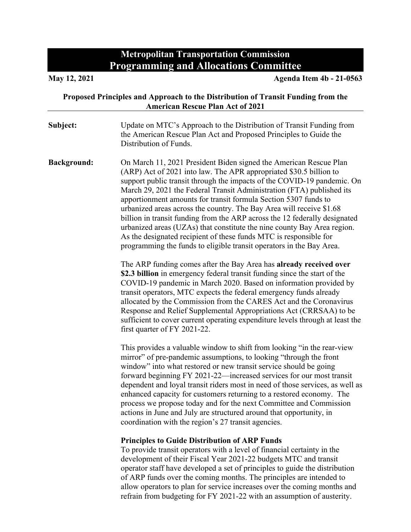## **Metropolitan Transportation Commission Programming and Allocations Committee**

| Proposed Principles and Approach to the Distribution of Transit Funding from the<br><b>American Rescue Plan Act of 2021</b> |                                                                                                                                                                                                                                                                                                                                                                                                                                                                                                                                                                                                                                                                                                                                              |
|-----------------------------------------------------------------------------------------------------------------------------|----------------------------------------------------------------------------------------------------------------------------------------------------------------------------------------------------------------------------------------------------------------------------------------------------------------------------------------------------------------------------------------------------------------------------------------------------------------------------------------------------------------------------------------------------------------------------------------------------------------------------------------------------------------------------------------------------------------------------------------------|
| Subject:                                                                                                                    | Update on MTC's Approach to the Distribution of Transit Funding from<br>the American Rescue Plan Act and Proposed Principles to Guide the<br>Distribution of Funds.                                                                                                                                                                                                                                                                                                                                                                                                                                                                                                                                                                          |
| <b>Background:</b>                                                                                                          | On March 11, 2021 President Biden signed the American Rescue Plan<br>(ARP) Act of 2021 into law. The APR appropriated \$30.5 billion to<br>support public transit through the impacts of the COVID-19 pandemic. On<br>March 29, 2021 the Federal Transit Administration (FTA) published its<br>apportionment amounts for transit formula Section 5307 funds to<br>urbanized areas across the country. The Bay Area will receive \$1.68<br>billion in transit funding from the ARP across the 12 federally designated<br>urbanized areas (UZAs) that constitute the nine county Bay Area region.<br>As the designated recipient of these funds MTC is responsible for<br>programming the funds to eligible transit operators in the Bay Area. |
|                                                                                                                             | The ARP funding comes after the Bay Area has already received over<br>\$2.3 billion in emergency federal transit funding since the start of the<br>COVID-19 pandemic in March 2020. Based on information provided by<br>transit operators, MTC expects the federal emergency funds already<br>allocated by the Commission from the CARES Act and the Coronavirus<br>Response and Relief Supplemental Appropriations Act (CRRSAA) to be<br>sufficient to cover current operating expenditure levels through at least the<br>first quarter of FY 2021-22.                                                                                                                                                                                      |
|                                                                                                                             | This provides a valuable window to shift from looking "in the rear-view<br>mirror" of pre-pandemic assumptions, to looking "through the front<br>window" into what restored or new transit service should be going<br>forward beginning FY 2021-22-increased services for our most transit<br>dependent and loyal transit riders most in need of those services, as well as<br>enhanced capacity for customers returning to a restored economy. The<br>process we propose today and for the next Committee and Commission<br>actions in June and July are structured around that opportunity, in<br>coordination with the region's 27 transit agencies.                                                                                      |
|                                                                                                                             | <b>Principles to Guide Distribution of ARP Funds</b><br>To provide transit operators with a level of financial certainty in the<br>development of their Fiscal Year 2021-22 budgets MTC and transit<br>operator staff have developed a set of principles to guide the distribution<br>of ARP funds over the coming months. The principles are intended to                                                                                                                                                                                                                                                                                                                                                                                    |

allow operators to plan for service increases over the coming months and refrain from budgeting for FY 2021-22 with an assumption of austerity.

**May 12, 2021 Agenda Item 4b - 21-0563**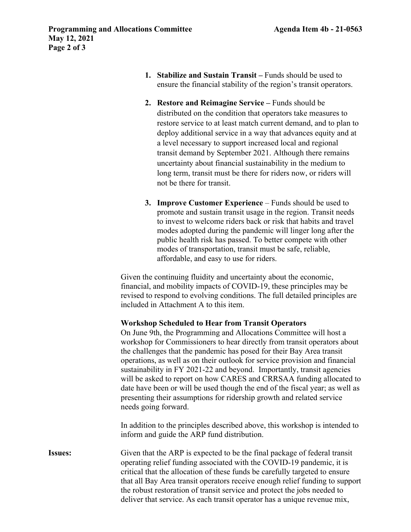- **1. Stabilize and Sustain Transit** Funds should be used to ensure the financial stability of the region's transit operators.
- **2. Restore and Reimagine Service** Funds should be distributed on the condition that operators take measures to restore service to at least match current demand, and to plan to deploy additional service in a way that advances equity and at a level necessary to support increased local and regional transit demand by September 2021. Although there remains uncertainty about financial sustainability in the medium to long term, transit must be there for riders now, or riders will not be there for transit.
- **3. Improve Customer Experience** Funds should be used to promote and sustain transit usage in the region. Transit needs to invest to welcome riders back or risk that habits and travel modes adopted during the pandemic will linger long after the public health risk has passed. To better compete with other modes of transportation, transit must be safe, reliable, affordable, and easy to use for riders.

Given the continuing fluidity and uncertainty about the economic, financial, and mobility impacts of COVID-19, these principles may be revised to respond to evolving conditions. The full detailed principles are included in Attachment A to this item.

## **Workshop Scheduled to Hear from Transit Operators**

On June 9th, the Programming and Allocations Committee will host a workshop for Commissioners to hear directly from transit operators about the challenges that the pandemic has posed for their Bay Area transit operations, as well as on their outlook for service provision and financial sustainability in FY 2021-22 and beyond. Importantly, transit agencies will be asked to report on how CARES and CRRSAA funding allocated to date have been or will be used though the end of the fiscal year; as well as presenting their assumptions for ridership growth and related service needs going forward.

In addition to the principles described above, this workshop is intended to inform and guide the ARP fund distribution.

**Issues:** Given that the ARP is expected to be the final package of federal transit operating relief funding associated with the COVID-19 pandemic, it is critical that the allocation of these funds be carefully targeted to ensure that all Bay Area transit operators receive enough relief funding to support the robust restoration of transit service and protect the jobs needed to deliver that service. As each transit operator has a unique revenue mix,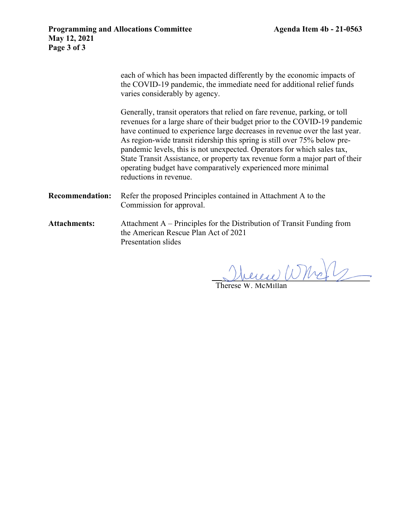each of which has been impacted differently by the economic impacts of the COVID-19 pandemic, the immediate need for additional relief funds varies considerably by agency.

 Generally, transit operators that relied on fare revenue, parking, or toll revenues for a large share of their budget prior to the COVID-19 pandemic have continued to experience large decreases in revenue over the last year. As region-wide transit ridership this spring is still over 75% below prepandemic levels, this is not unexpected. Operators for which sales tax, State Transit Assistance, or property tax revenue form a major part of their operating budget have comparatively experienced more minimal reductions in revenue.

- **Recommendation:** Refer the proposed Principles contained in Attachment A to the Commission for approval.
- **Attachments:** Attachment A Principles for the Distribution of Transit Funding from the American Rescue Plan Act of 2021 Presentation slides

Were Whole

Therese W. McMillan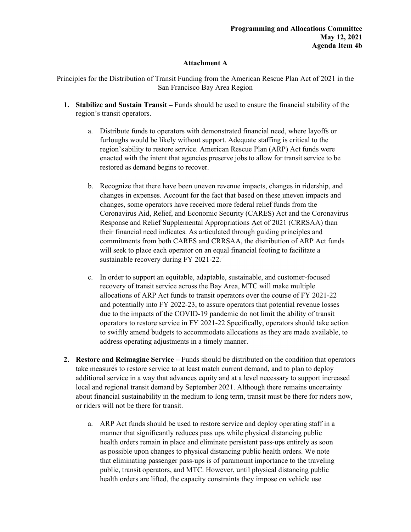## **Attachment A**

Principles for the Distribution of Transit Funding from the American Rescue Plan Act of 2021 in the San Francisco Bay Area Region

- **1. Stabilize and Sustain Transit** Funds should be used to ensure the financial stability of the region's transit operators.
	- a. Distribute funds to operators with demonstrated financial need, where layoffs or furloughs would be likely without support. Adequate staffing is critical to the region's ability to restore service. American Rescue Plan (ARP) Act funds were enacted with the intent that agencies preserve jobs to allow for transit service to be restored as demand begins to recover.
	- b. Recognize that there have been uneven revenue impacts, changes in ridership, and changes in expenses. Account for the fact that based on these uneven impacts and changes, some operators have received more federal relief funds from the Coronavirus Aid, Relief, and Economic Security (CARES) Act and the Coronavirus Response and Relief Supplemental Appropriations Act of 2021 (CRRSAA) than their financial need indicates. As articulated through guiding principles and commitments from both CARES and CRRSAA, the distribution of ARP Act funds will seek to place each operator on an equal financial footing to facilitate a sustainable recovery during FY 2021-22.
	- c. In order to support an equitable, adaptable, sustainable, and customer-focused recovery of transit service across the Bay Area, MTC will make multiple allocations of ARP Act funds to transit operators over the course of FY 2021-22 and potentially into FY 2022-23, to assure operators that potential revenue losses due to the impacts of the COVID-19 pandemic do not limit the ability of transit operators to restore service in FY 2021-22 Specifically, operators should take action to swiftly amend budgets to accommodate allocations as they are made available, to address operating adjustments in a timely manner.
- **2. Restore and Reimagine Service** Funds should be distributed on the condition that operators take measures to restore service to at least match current demand, and to plan to deploy additional service in a way that advances equity and at a level necessary to support increased local and regional transit demand by September 2021. Although there remains uncertainty about financial sustainability in the medium to long term, transit must be there for riders now, or riders will not be there for transit.
	- a. ARP Act funds should be used to restore service and deploy operating staff in a manner that significantly reduces pass ups while physical distancing public health orders remain in place and eliminate persistent pass-ups entirely as soon as possible upon changes to physical distancing public health orders. We note that eliminating passenger pass-ups is of paramount importance to the traveling public, transit operators, and MTC. However, until physical distancing public health orders are lifted, the capacity constraints they impose on vehicle use